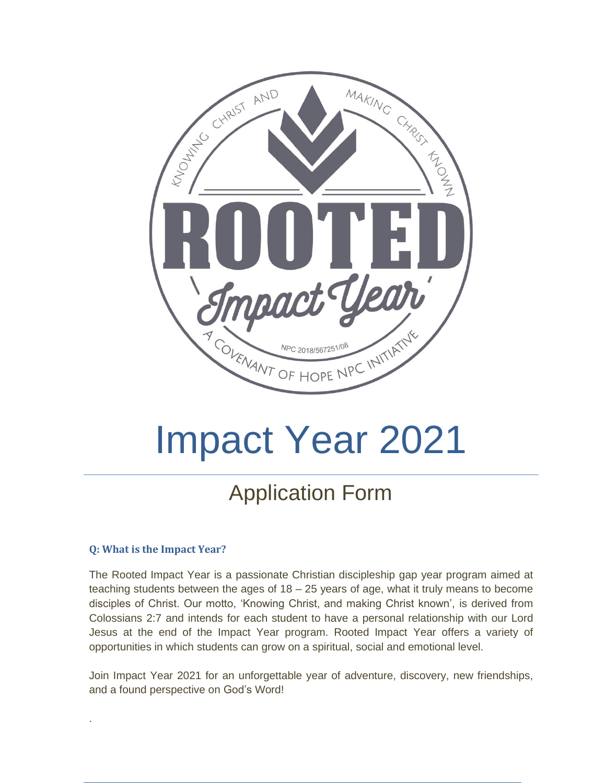

# Impact Year 2021

# Application Form

#### **Q: What is the Impact Year?**

.

The Rooted Impact Year is a passionate Christian discipleship gap year program aimed at teaching students between the ages of 18 – 25 years of age, what it truly means to become disciples of Christ. Our motto, 'Knowing Christ, and making Christ known', is derived from Colossians 2:7 and intends for each student to have a personal relationship with our Lord Jesus at the end of the Impact Year program. Rooted Impact Year offers a variety of opportunities in which students can grow on a spiritual, social and emotional level.

Join Impact Year 2021 for an unforgettable year of adventure, discovery, new friendships, and a found perspective on God's Word!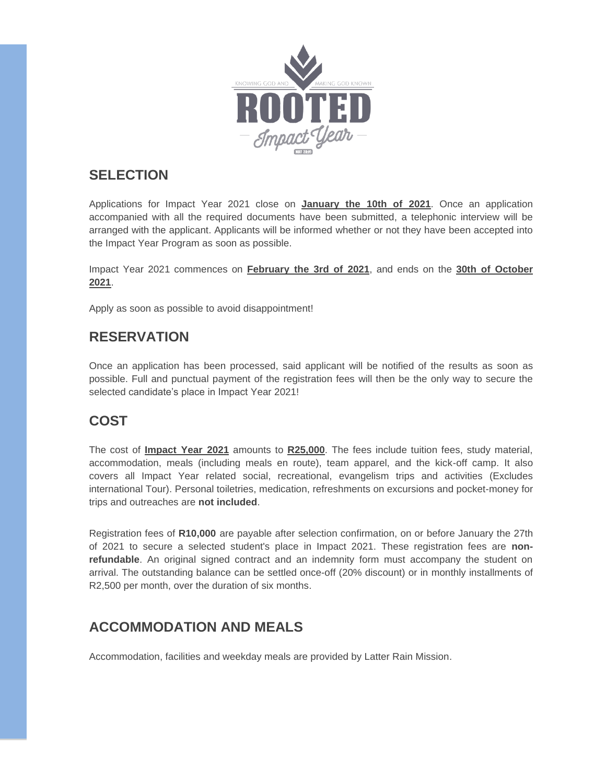

#### **SELECTION**

Applications for Impact Year 2021 close on **January the 10th of 2021**. Once an application accompanied with all the required documents have been submitted, a telephonic interview will be arranged with the applicant. Applicants will be informed whether or not they have been accepted into the Impact Year Program as soon as possible.

Impact Year 2021 commences on **February the 3rd of 2021**, and ends on the **30th of October 2021**.

Apply as soon as possible to avoid disappointment!

#### **RESERVATION**

Once an application has been processed, said applicant will be notified of the results as soon as possible. Full and punctual payment of the registration fees will then be the only way to secure the selected candidate's place in Impact Year 2021!

#### **COST**

The cost of **Impact Year 2021** amounts to **R25,000**. The fees include tuition fees, study material, accommodation, meals (including meals en route), team apparel, and the kick-off camp. It also covers all Impact Year related social, recreational, evangelism trips and activities (Excludes international Tour). Personal toiletries, medication, refreshments on excursions and pocket-money for trips and outreaches are **not included**.

Registration fees of **R10,000** are payable after selection confirmation, on or before January the 27th of 2021 to secure a selected student's place in Impact 2021. These registration fees are **nonrefundable**. An original signed contract and an indemnity form must accompany the student on arrival. The outstanding balance can be settled once-off (20% discount) or in monthly installments of R2,500 per month, over the duration of six months.

#### **ACCOMMODATION AND MEALS**

Accommodation, facilities and weekday meals are provided by Latter Rain Mission.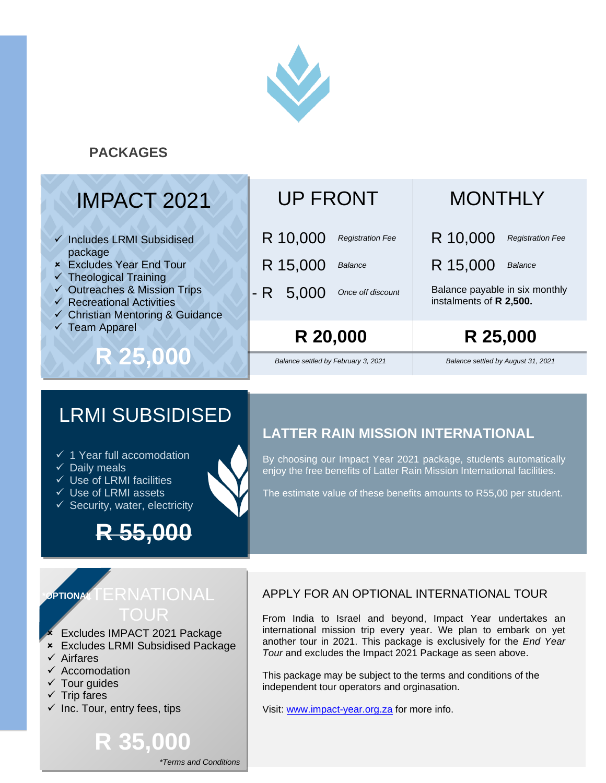

#### **PACKAGES**

# IMPACT 2021

- ✓ Includes LRMI Subsidised package
- Excludes Year End Tour
- $\checkmark$  Theological Training
- ✓ Outreaches & Mission Trips
- $\checkmark$  Recreational Activities
- ✓ Christian Mentoring & Guidance

**R 25,000**

✓ Team Apparel

### UP FRONT

- *Registration Fee* R 10,000
- *Balance* R 15,000
- *Once off discount* - R 5,000

**R 20,000 R 25,000**

*Balance settled by February 3, 2021 Balance settled by August 31, 2021*

# **MONTHLY**

R 10,000 *Registration Fee*

R 15,000 *Balance*

Balance payable in six monthly instalments of **R 2,500.**

## LRMI SUBSIDISED

- ✓ 1 Year full accomodation
- $\checkmark$  Daily meals
- $\checkmark$  Use of LRMI facilities
- ✓ Use of LRMI assets
- $\checkmark$  Security, water, electricity

# **R 55,000**

#### **LATTER RAIN MISSION INTERNATIONAL**

By choosing our Impact Year 2021 package, students automatically enjoy the free benefits of Latter Rain Mission International facilities.

The estimate value of these benefits amounts to R55,00 per student.

# **DPTIONAL**

- Excludes IMPACT 2021 Package
- Excludes LRMI Subsidised Package

**R 35,000**

- ✓ Airfares
- ✓ Accomodation
- $\checkmark$  Tour guides
- $\checkmark$  Trip fares
- $\checkmark$  Inc. Tour, entry fees, tips

APPLY FOR AN OPTIONAL INTERNATIONAL TOUR

From India to Israel and beyond, Impact Year undertakes an international mission trip every year. We plan to embark on yet another tour in 2021. This package is exclusively for the *End Year Tour* and excludes the Impact 2021 Package as seen above.

This package may be subject to the terms and conditions of the independent tour operators and orginasation.

Visit: [www.impact-year.org.za](http://www.impact-year.org.za/) for more info.

*\*Terms and Conditions*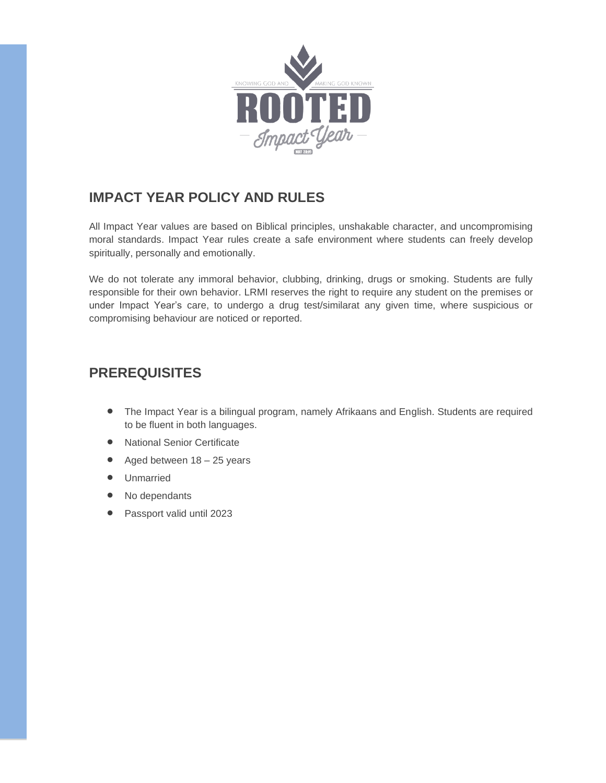

#### **IMPACT YEAR POLICY AND RULES**

All Impact Year values are based on Biblical principles, unshakable character, and uncompromising moral standards. Impact Year rules create a safe environment where students can freely develop spiritually, personally and emotionally.

We do not tolerate any immoral behavior, clubbing, drinking, drugs or smoking. Students are fully responsible for their own behavior. LRMI reserves the right to require any student on the premises or under Impact Year's care, to undergo a drug test/similarat any given time, where suspicious or compromising behaviour are noticed or reported.

#### **PREREQUISITES**

- The Impact Year is a bilingual program, namely Afrikaans and English. Students are required to be fluent in both languages.
- National Senior Certificate
- Aged between 18 25 years
- Unmarried
- No dependants
- Passport valid until 2023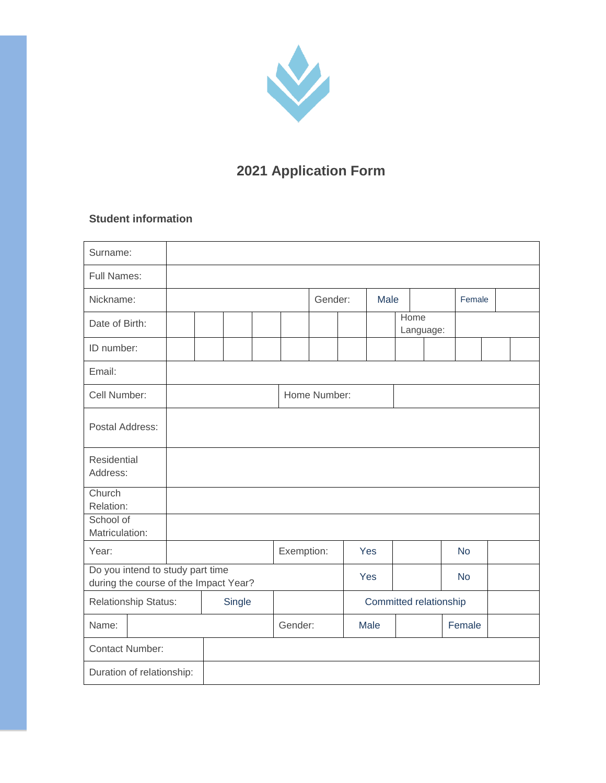

### **2021 Application Form**

#### **Student information**

| Surname:                                                                  |        |  |  |            |              |  |      |                        |  |  |           |  |  |
|---------------------------------------------------------------------------|--------|--|--|------------|--------------|--|------|------------------------|--|--|-----------|--|--|
| <b>Full Names:</b>                                                        |        |  |  |            |              |  |      |                        |  |  |           |  |  |
| Nickname:                                                                 |        |  |  |            | Gender:      |  | Male |                        |  |  | Female    |  |  |
| Date of Birth:                                                            |        |  |  |            |              |  |      | Home<br>Language:      |  |  |           |  |  |
| ID number:                                                                |        |  |  |            |              |  |      |                        |  |  |           |  |  |
| Email:                                                                    |        |  |  |            |              |  |      |                        |  |  |           |  |  |
| Cell Number:                                                              |        |  |  |            | Home Number: |  |      |                        |  |  |           |  |  |
| Postal Address:                                                           |        |  |  |            |              |  |      |                        |  |  |           |  |  |
| <b>Residential</b><br>Address:                                            |        |  |  |            |              |  |      |                        |  |  |           |  |  |
| Church<br>Relation:                                                       |        |  |  |            |              |  |      |                        |  |  |           |  |  |
| School of<br>Matriculation:                                               |        |  |  |            |              |  |      |                        |  |  |           |  |  |
| Year:                                                                     |        |  |  | Exemption: |              |  | Yes  |                        |  |  | <b>No</b> |  |  |
| Do you intend to study part time<br>during the course of the Impact Year? |        |  |  |            |              |  | Yes  |                        |  |  | <b>No</b> |  |  |
| Relationship Status:                                                      | Single |  |  |            |              |  |      | Committed relationship |  |  |           |  |  |
| Name:                                                                     |        |  |  | Gender:    |              |  | Male |                        |  |  | Female    |  |  |
| <b>Contact Number:</b>                                                    |        |  |  |            |              |  |      |                        |  |  |           |  |  |
| Duration of relationship:                                                 |        |  |  |            |              |  |      |                        |  |  |           |  |  |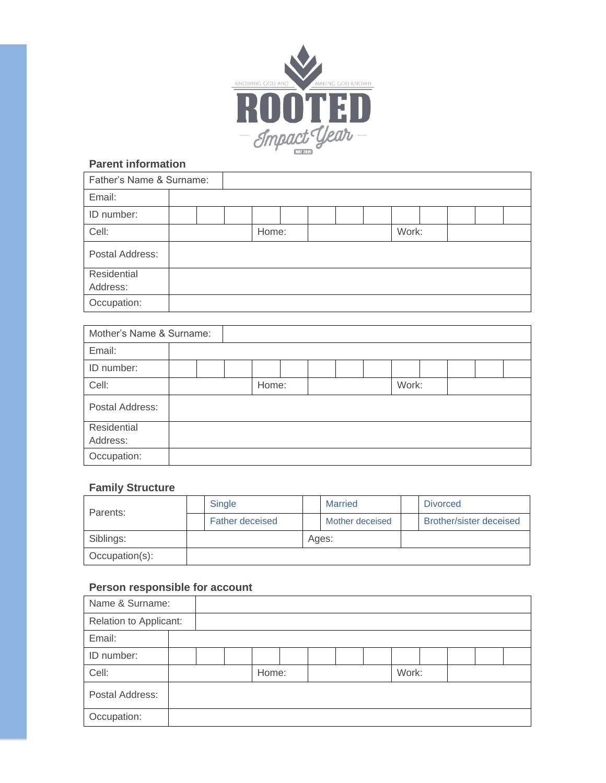

#### **Parent information**

| Father's Name & Surname: |  |  |       |  |  |       |  |  |
|--------------------------|--|--|-------|--|--|-------|--|--|
| Email:                   |  |  |       |  |  |       |  |  |
| ID number:               |  |  |       |  |  |       |  |  |
| Cell:                    |  |  | Home: |  |  | Work: |  |  |
| Postal Address:          |  |  |       |  |  |       |  |  |
| Residential              |  |  |       |  |  |       |  |  |
| Address:                 |  |  |       |  |  |       |  |  |
| Occupation:              |  |  |       |  |  |       |  |  |

| Mother's Name & Surname: |  |       |  |  |       |  |  |
|--------------------------|--|-------|--|--|-------|--|--|
| Email:                   |  |       |  |  |       |  |  |
| ID number:               |  |       |  |  |       |  |  |
| Cell:                    |  | Home: |  |  | Work: |  |  |
| Postal Address:          |  |       |  |  |       |  |  |
| Residential              |  |       |  |  |       |  |  |
| Address:                 |  |       |  |  |       |  |  |
| Occupation:              |  |       |  |  |       |  |  |

#### **Family Structure**

| Parents:       | <b>Single</b>          |  | <b>Married</b> |                 | <b>Divorced</b>         |
|----------------|------------------------|--|----------------|-----------------|-------------------------|
|                | <b>Father deceised</b> |  |                | Mother deceised | Brother/sister deceised |
| Siblings:      |                        |  |                | Ages:           |                         |
| Occupation(s): |                        |  |                |                 |                         |

#### **Person responsible for account**

| Name & Surname:        |  |       |  |  |       |  |  |
|------------------------|--|-------|--|--|-------|--|--|
| Relation to Applicant: |  |       |  |  |       |  |  |
| Email:                 |  |       |  |  |       |  |  |
| ID number:             |  |       |  |  |       |  |  |
| Cell:                  |  | Home: |  |  | Work: |  |  |
| Postal Address:        |  |       |  |  |       |  |  |
| Occupation:            |  |       |  |  |       |  |  |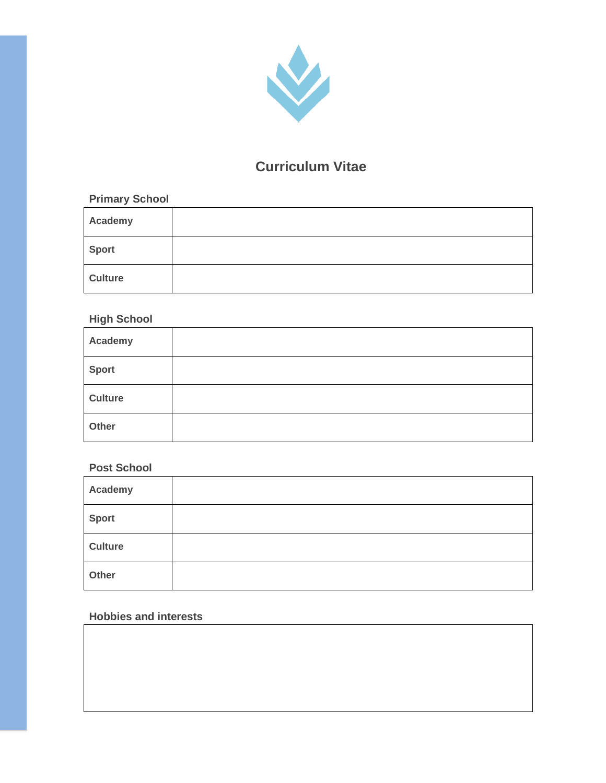

#### **Curriculum Vitae**

#### **Primary School**

| Academy        |  |
|----------------|--|
| <b>Sport</b>   |  |
| <b>Culture</b> |  |

#### **High School**

| Academy |  |
|---------|--|
| Sport   |  |
| Culture |  |
| Other   |  |

#### **Post School**

| Academy      |  |
|--------------|--|
| <b>Sport</b> |  |
| Culture      |  |
| Other        |  |

#### **Hobbies and interests**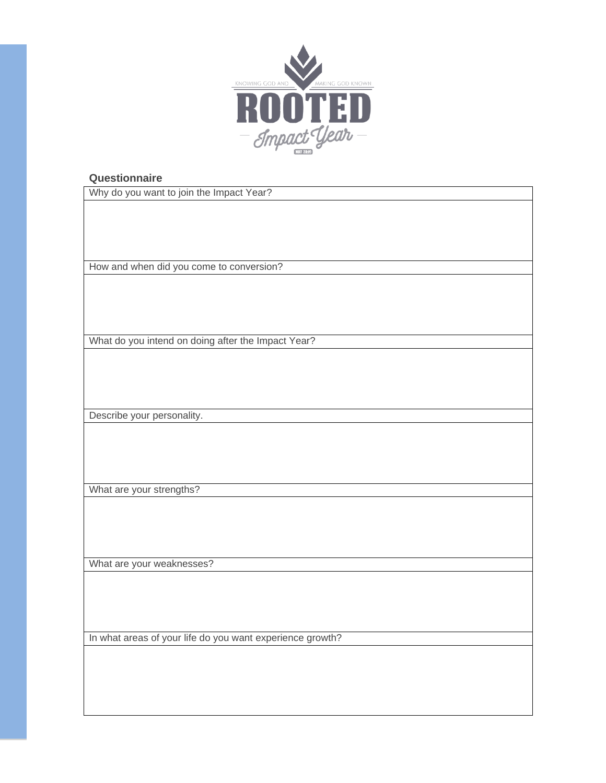

#### **Questionnaire**

Why do you want to join the Impact Year?

How and when did you come to conversion?

What do you intend on doing after the Impact Year?

Describe your personality.

What are your strengths?

What are your weaknesses?

In what areas of your life do you want experience growth?